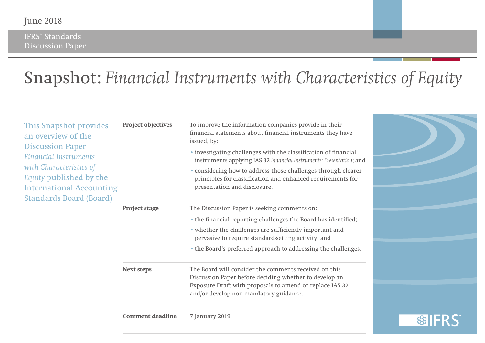IFRS® Standards Discussion Paper

# Snapshot: *Financial Instruments with Characteristics of Equity*

| <b>International Accounting</b> | · investigating challenges with the classification of financial<br>instruments applying IAS 32 Financial Instruments: Presentation; and<br>• considering how to address those challenges through clearer<br>principles for classification and enhanced requirements for<br>presentation and disclosure. |                |
|---------------------------------|---------------------------------------------------------------------------------------------------------------------------------------------------------------------------------------------------------------------------------------------------------------------------------------------------------|----------------|
| <b>Project stage</b>            | The Discussion Paper is seeking comments on:<br>• the financial reporting challenges the Board has identified;<br>• whether the challenges are sufficiently important and<br>pervasive to require standard-setting activity; and<br>• the Board's preferred approach to addressing the challenges.      |                |
| <b>Next steps</b>               | The Board will consider the comments received on this<br>Discussion Paper before deciding whether to develop an<br>Exposure Draft with proposals to amend or replace IAS 32<br>and/or develop non-mandatory guidance.                                                                                   |                |
|                                 | <b>Comment deadline</b>                                                                                                                                                                                                                                                                                 | 7 January 2019 |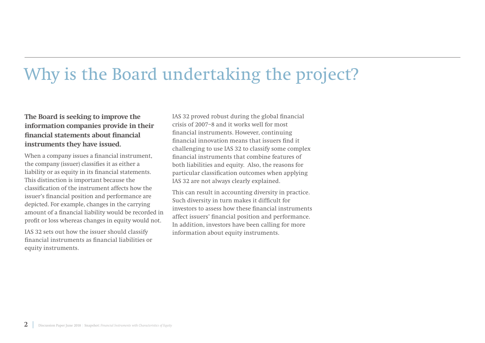# Why is the Board undertaking the project?

### **The Board is seeking to improve the information companies provide in their financial statements about financial instruments they have issued.**

When a company issues a financial instrument, the company (issuer) classifies it as either a liability or as equity in its financial statements. This distinction is important because the classification of the instrument affects how the issuer's financial position and performance are depicted. For example, changes in the carrying amount of a financial liability would be recorded in profit or loss whereas changes in equity would not.

IAS 32 sets out how the issuer should classify financial instruments as financial liabilities or equity instruments.

IAS 32 proved robust during the global financial crisis of 2007–8 and it works well for most financial instruments. However, continuing financial innovation means that issuers find it challenging to use IAS 32 to classify some complex financial instruments that combine features of both liabilities and equity. Also, the reasons for particular classification outcomes when applying IAS 32 are not always clearly explained.

This can result in accounting diversity in practice. Such diversity in turn makes it difficult for investors to assess how these financial instruments affect issuers' financial position and performance. In addition, investors have been calling for more information about equity instruments.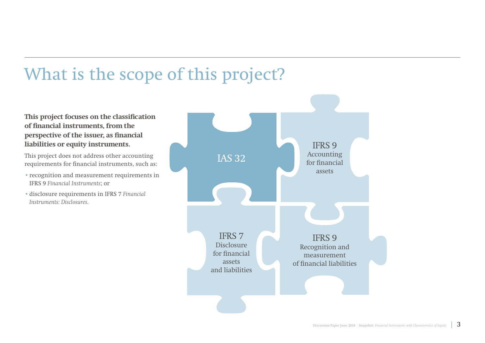# What is the scope of this project?

### **This project focuses on the classification of financial instruments, from the perspective of the issuer, as financial liabilities or equity instruments.**

This project does not address other accounting requirements for financial instruments, such as:

- •recognition and measurement requirements in IFRS 9 *Financial Instruments*; or
- •disclosure requirements in IFRS 7 *Financial Instruments: Disclosures*.

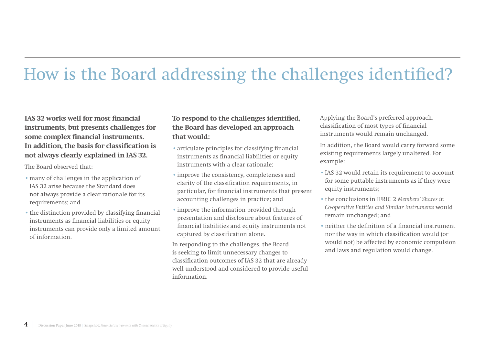# How is the Board addressing the challenges identified?

### **IAS 32 works well for most financial instruments, but presents challenges for some complex financial instruments. In addition, the basis for classification is not always clearly explained in IAS 32.**

The Board observed that:

- •many of challenges in the application of IAS 32 arise because the Standard does not always provide a clear rationale for its requirements; and
- •the distinction provided by classifying financial instruments as financial liabilities or equity instruments can provide only a limited amount of information.

### **To respond to the challenges identified, the Board has developed an approach that would:**

- •articulate principles for classifying financial instruments as financial liabilities or equity instruments with a clear rationale;
- •improve the consistency, completeness and clarity of the classification requirements, in particular, for financial instruments that present accounting challenges in practice; and
- •improve the information provided through presentation and disclosure about features of financial liabilities and equity instruments not captured by classification alone.

In responding to the challenges, the Board is seeking to limit unnecessary changes to classification outcomes of IAS 32 that are already well understood and considered to provide useful information.

Applying the Board's preferred approach, classification of most types of financial instruments would remain unchanged.

In addition, the Board would carry forward some existing requirements largely unaltered. For example:

- •IAS 32 would retain its requirement to account for some puttable instruments as if they were equity instruments;
- •the conclusions in IFRIC 2 *Members' Shares in Co-operative Entities and Similar Instruments* would remain unchanged; and
- •neither the definition of a financial instrument nor the way in which classification would (or would not) be affected by economic compulsion and laws and regulation would change.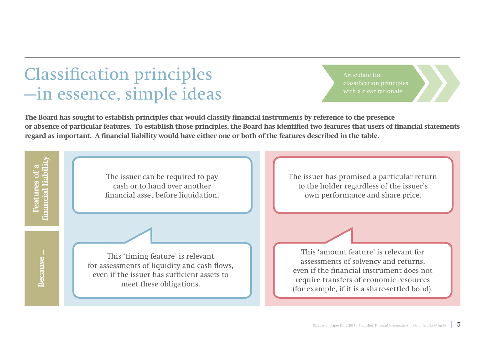### Classification principles —in essence, simple ideas

Articulate the classification principles with a clear rationale

**The Board has sought to establish principles that would classify financial instruments by reference to the presence or absence of particular features. To establish those principles, the Board has identified two features that users of financial statements regard as important. A financial liability would have either one or both of the features described in the table.**

**financial liability Features of a** Features of a<br>Inancial liabil The issuer can be required to pay The issuer has promised a particular return cash or to hand over another to the holder regardless of the issuer's financial asset before liquidation. own performance and share price.This 'amount feature' is relevant for Because... **Because ...** This 'timing feature' is relevant assessments of solvency and returns, for assessments of liquidity and cash flows, even if the financial instrument does not even if the issuer has sufficient assets to require transfers of economic resources meet these obligations. (for example, if it is a share-settled bond).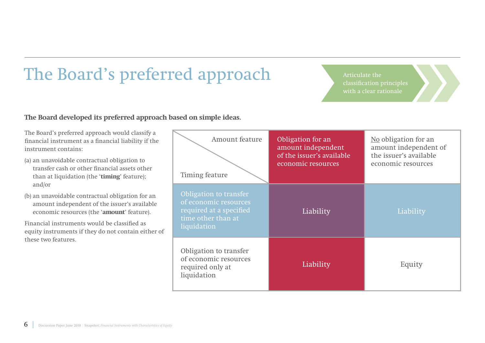### The Board's preferred approach

**The Board developed its preferred approach based on simple ideas.**

The Board's preferred approach would classify a financial instrument as a financial liability if the instrument contains:

- (a) an unavoidable contractual obligation to transfer cash or other financial assets other than at liquidation (the '**timing**' feature); and/or
- (b) an unavoidable contractual obligation for an amount independent of the issuer's available economic resources (the '**amount**' feature).

Financial instruments would be classified as equity instruments if they do not contain either of these two features.

| Amount feature<br>Timing feature                                                                                | Obligation for an<br>amount independent<br>of the issuer's available<br>economic resources | No obligation for an<br>amount independent of<br>the issuer's available<br>economic resources |
|-----------------------------------------------------------------------------------------------------------------|--------------------------------------------------------------------------------------------|-----------------------------------------------------------------------------------------------|
| Obligation to transfer<br>of economic resources<br>required at a specified<br>time other than at<br>liquidation | Liability                                                                                  | Liability                                                                                     |
| Obligation to transfer<br>of economic resources<br>required only at<br>liquidation                              | Liability                                                                                  | Equity                                                                                        |

Articulate the with a clear rationale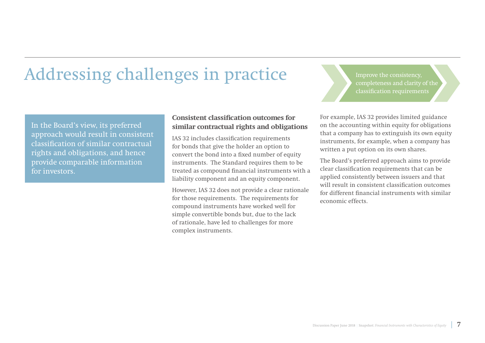# Addressing challenges in practice

In the Board's view, its preferred approach would result in consistent classification of similar contractual rights and obligations, and hence provide comparable information for investors.

#### **Consistent classification outcomes for similar contractual rights and obligations**

IAS 32 includes classification requirements for bonds that give the holder an option to convert the bond into a fixed number of equity instruments. The Standard requires them to be treated as compound financial instruments with a liability component and an equity component.

However, IAS 32 does not provide a clear rationale for those requirements. The requirements for compound instruments have worked well for simple convertible bonds but, due to the lack of rationale, have led to challenges for more complex instruments.

completeness and clarity of the classification requirements

For example, IAS 32 provides limited guidance on the accounting within equity for obligations that a company has to extinguish its own equity instruments, for example, when a company has written a put option on its own shares.

The Board's preferred approach aims to provide clear classification requirements that can be applied consistently between issuers and that will result in consistent classification outcomes for different financial instruments with similar economic effects.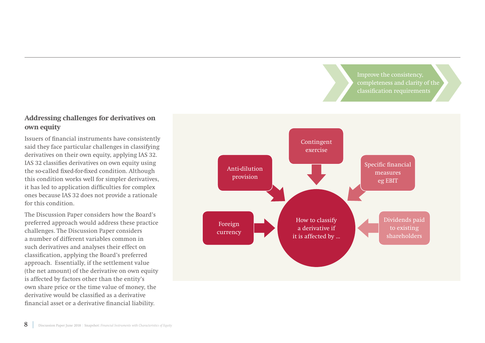Improve the consistency, completeness and clarity of the classification requirements

### **Addressing challenges for derivatives on own equity**

Issuers of financial instruments have consistently said they face particular challenges in classifying derivatives on their own equity, applying IAS 32. IAS 32 classifies derivatives on own equity using the so-called fixed-for-fixed condition. Although this condition works well for simpler derivatives, it has led to application difficulties for complex ones because IAS 32 does not provide a rationale for this condition.

The Discussion Paper considers how the Board's preferred approach would address these practice challenges. The Discussion Paper considers a number of different variables common in such derivatives and analyses their effect on classification, applying the Board's preferred approach. Essentially, if the settlement value (the net amount) of the derivative on own equity is affected by factors other than the entity's own share price or the time value of money, the derivative would be classified as a derivative financial asset or a derivative financial liability.

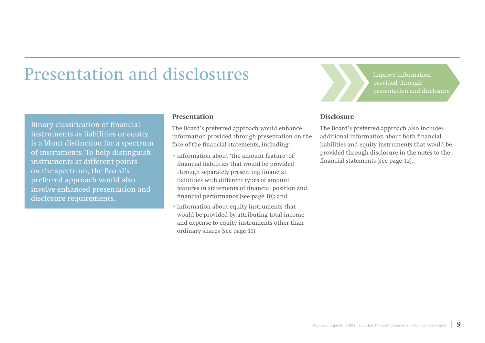### Presentation and disclosures

Binary classification of financial instruments as liabilities or equity is a blunt distinction for a spectrum of instruments. To help distinguish instruments at different points on the spectrum, the Board's preferred approach would also involve enhanced presentation and disclosure requirements.

#### **Presentation**

The Board's preferred approach would enhance information provided through presentation on the face of the financial statements, including:

- •information about 'the amount feature' of financial liabilities that would be provided through separately presenting financial liabilities with different types of amount features in statements of financial position and financial performance (see page 10); and
- •information about equity instruments that would be provided by attributing total income and expense to equity instruments other than ordinary shares (see page 11).

Improve information provided through presentation and disclosure

#### **Disclosure**

The Board's preferred approach also includes additional information about both financial liabilities and equity instruments that would be provided through disclosure in the notes to the financial statements (see page 12).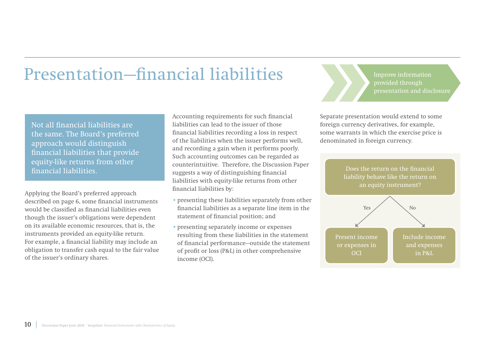### Presentation—financial liabilities

Not all financial liabilities are the same. The Board's preferred approach would distinguish financial liabilities that provide equity-like returns from other financial liabilities.

Applying the Board's preferred approach described on page 6, some financial instruments would be classified as financial liabilities even though the issuer's obligations were dependent on its available economic resources, that is, the instruments provided an equity-like return. For example, a financial liability may include an obligation to transfer cash equal to the fair value of the issuer's ordinary shares.

Accounting requirements for such financial liabilities can lead to the issuer of those financial liabilities recording a loss in respect of the liabilities when the issuer performs well, and recording a gain when it performs poorly. Such accounting outcomes can be regarded as counterintuitive. Therefore, the Discussion Paper suggests a way of distinguishing financial liabilities with equity-like returns from other financial liabilities by:

- •presenting these liabilities separately from other financial liabilities as a separate line item in the statement of financial position; and
- •presenting separately income or expenses resulting from these liabilities in the statement of financial performance—outside the statement of profit or loss (P&L) in other comprehensive income (OCI).

Improve information provided through presentation and disclosure

Separate presentation would extend to some foreign currency derivatives, for example, some warrants in which the exercise price is denominated in foreign currency.

> Does the return on the financial liability behave like the return on an equity instrument?

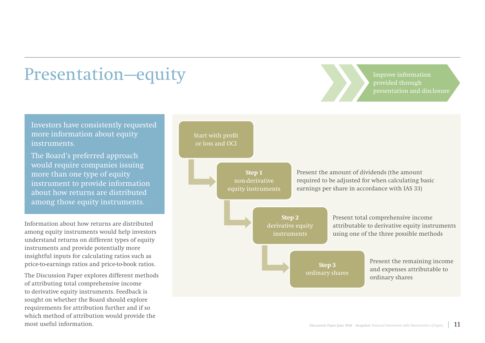### Presentation—equity

Improve information provided through presentation and disclosure

Investors have consistently requested more information about equity instruments.

The Board's preferred approach would require companies issuing more than one type of equity instrument to provide information about how returns are distributed among those equity instruments.

Information about how returns are distributed among equity instruments would help investors understand returns on different types of equity instruments and provide potentially more insightful inputs for calculating ratios such as price-to-earnings ratios and price-to-book ratios.

The Discussion Paper explores different methods of attributing total comprehensive income to derivative equity instruments. Feedback is sought on whether the Board should explore requirements for attribution further and if so which method of attribution would provide the most useful information.

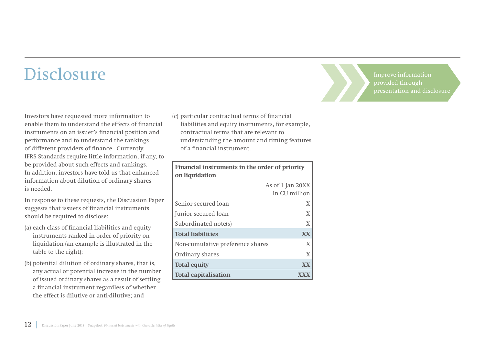### Disclosure

Investors have requested more information to enable them to understand the effects of financial instruments on an issuer's financial position and performance and to understand the rankings of different providers of finance. Currently, IFRS Standards require little information, if any, to be provided about such effects and rankings. In addition, investors have told us that enhanced information about dilution of ordinary shares is needed.

In response to these requests, the Discussion Paper suggests that issuers of financial instruments should be required to disclose:

- (a) each class of financial liabilities and equity instruments ranked in order of priority on liquidation (an example is illustrated in the table to the right);
- (b) potential dilution of ordinary shares, that is, any actual or potential increase in the number of issued ordinary shares as a result of settling a financial instrument regardless of whether the effect is dilutive or anti-dilutive; and

(c) particular contractual terms of financial liabilities and equity instruments, for example, contractual terms that are relevant to understanding the amount and timing features of a financial instrument.

| Financial instruments in the order of priority<br>on liquidation |                  |
|------------------------------------------------------------------|------------------|
|                                                                  | As of 1 Jan 20XX |
|                                                                  | In CU million    |
| Senior secured loan                                              | X                |
| Junior secured loan                                              | X                |
| Subordinated note(s)                                             | X                |
| <b>Total liabilities</b>                                         | XX               |
| Non-cumulative preference shares                                 | X                |
| Ordinary shares                                                  | X                |
| <b>Total equity</b>                                              | XX               |
| <b>Total capitalisation</b>                                      |                  |

Improve information provided through presentation and disclosure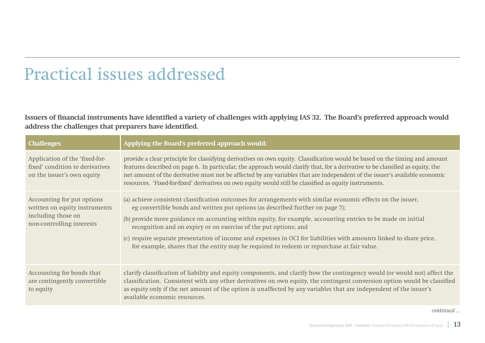### Practical issues addressed

**Issuers of financial instruments have identified a variety of challenges with applying IAS 32. The Board's preferred approach would address the challenges that preparers have identified.**

| <b>Challenges</b>                                                                                              | Applying the Board's preferred approach would:                                                                                                                                                                                                                                                                                                                                                                                                                                                                                                                                                          |
|----------------------------------------------------------------------------------------------------------------|---------------------------------------------------------------------------------------------------------------------------------------------------------------------------------------------------------------------------------------------------------------------------------------------------------------------------------------------------------------------------------------------------------------------------------------------------------------------------------------------------------------------------------------------------------------------------------------------------------|
| Application of the 'fixed-for-<br>fixed' condition to derivatives<br>on the issuer's own equity                | provide a clear principle for classifying derivatives on own equity. Classification would be based on the timing and amount<br>features described on page 6. In particular, the approach would clarify that, for a derivative to be classified as equity, the<br>net amount of the derivative must not be affected by any variables that are independent of the issuer's available economic<br>resources. 'Fixed-for-fixed' derivatives on own equity would still be classified as equity instruments.                                                                                                  |
| Accounting for put options<br>written on equity instruments<br>including those on<br>non-controlling interests | (a) achieve consistent classification outcomes for arrangements with similar economic effects on the issuer,<br>eg convertible bonds and written put options (as described further on page 7);<br>(b) provide more guidance on accounting within equity, for example, accounting entries to be made on initial<br>recognition and on expiry or on exercise of the put options; and<br>(c) require separate presentation of income and expenses in OCI for liabilities with amounts linked to share price,<br>for example, shares that the entity may be required to redeem or repurchase at fair value. |
| Accounting for bonds that<br>are contingently convertible<br>to equity                                         | clarify classification of liability and equity components, and clarify how the contingency would (or would not) affect the<br>classification. Consistent with any other derivatives on own equity, the contingent conversion option would be classified<br>as equity only if the net amount of the option is unaffected by any variables that are independent of the issuer's<br>available economic resources.                                                                                                                                                                                          |

*continued ...*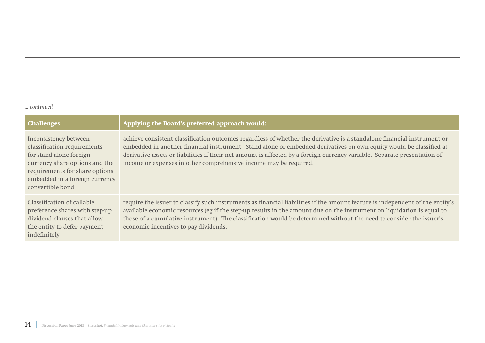#### *... continued*

| <b>Challenges</b>                                                                                                                                                                                         | Applying the Board's preferred approach would:                                                                                                                                                                                                                                                                                                                                                                                                  |
|-----------------------------------------------------------------------------------------------------------------------------------------------------------------------------------------------------------|-------------------------------------------------------------------------------------------------------------------------------------------------------------------------------------------------------------------------------------------------------------------------------------------------------------------------------------------------------------------------------------------------------------------------------------------------|
| Inconsistency between<br>classification requirements<br>for stand-alone foreign<br>currency share options and the<br>requirements for share options<br>embedded in a foreign currency<br>convertible bond | achieve consistent classification outcomes regardless of whether the derivative is a standalone financial instrument or<br>embedded in another financial instrument. Stand-alone or embedded derivatives on own equity would be classified as<br>derivative assets or liabilities if their net amount is affected by a foreign currency variable. Separate presentation of<br>income or expenses in other comprehensive income may be required. |
| Classification of callable<br>preference shares with step-up<br>dividend clauses that allow<br>the entity to defer payment<br>indefinitely                                                                | require the issuer to classify such instruments as financial liabilities if the amount feature is independent of the entity's<br>available economic resources (eg if the step-up results in the amount due on the instrument on liquidation is equal to<br>those of a cumulative instrument). The classification would be determined without the need to consider the issuer's<br>economic incentives to pay dividends.                         |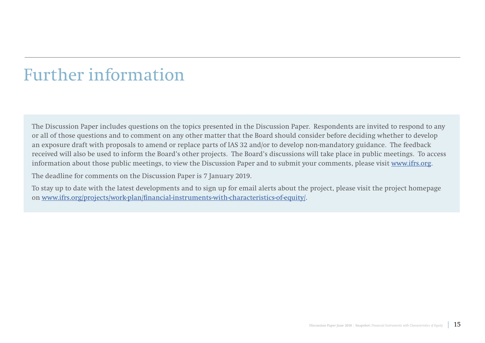### Further information

The Discussion Paper includes questions on the topics presented in the Discussion Paper. Respondents are invited to respond to any or all of those questions and to comment on any other matter that the Board should consider before deciding whether to develop an exposure draft with proposals to amend or replace parts of IAS 32 and/or to develop non-mandatory guidance. The feedback received will also be used to inform the Board's other projects. The Board's discussions will take place in public meetings. To access information about those public meetings, to view the Discussion Paper and to submit your comments, please visit [www.ifrs.org](http://www.ifrs.org).

The deadline for comments on the Discussion Paper is 7 January 2019.

To stay up to date with the latest developments and to sign up for email alerts about the project, please visit the project homepage on [www.ifrs.org/projects/work-plan/financial-instruments-with-characteristics-of-equity/.](http://www.ifrs.org/projects/work-plan/financial-instruments-with-characteristics-of-equity/)